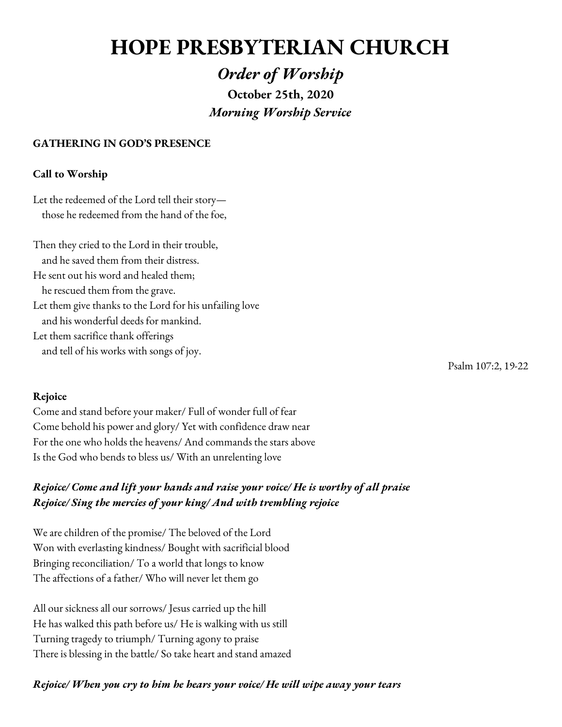# **HOPE PRESBYTERIAN CHURCH**

# *Order of Worship* **October 25th, 2020** *Morning Worship Service*

# **GATHERING IN GOD'S PRESENCE**

# **Call to Worship**

Let the redeemed of the Lord tell their story those he redeemed from the hand of the foe,

Then they cried to the Lord in their trouble, and he saved them from their distress. He sent out his word and healed them; he rescued them from the grave. Let them give thanks to the Lord for his unfailing love and his wonderful deeds for mankind. Let them sacrifice thank offerings and tell of his works with songs of joy.

Psalm 107:2, 19-22

# **Rejoice**

Come and stand before your maker/ Full of wonder full of fear Come behold his power and glory/ Yet with confidence draw near For the one who holds the heavens/ And commands the stars above Is the God who bends to bless us/ With an unrelenting love

# *Rejoice/ Come and lift your hands and raise your voice/ He is worthy of all praise Rejoice/ Sing the mercies of your king/ And with trembling rejoice*

We are children of the promise/ The beloved of the Lord Won with everlasting kindness/ Bought with sacrificial blood Bringing reconciliation/ To a world that longs to know The affections of a father/ Who will never let them go

All our sickness all our sorrows/ Jesus carried up the hill He has walked this path before us/ He is walking with us still Turning tragedy to triumph/ Turning agony to praise There is blessing in the battle/ So take heart and stand amazed

# *Rejoice/ When you cry to him he hears your voice/ He will wipe away your tears*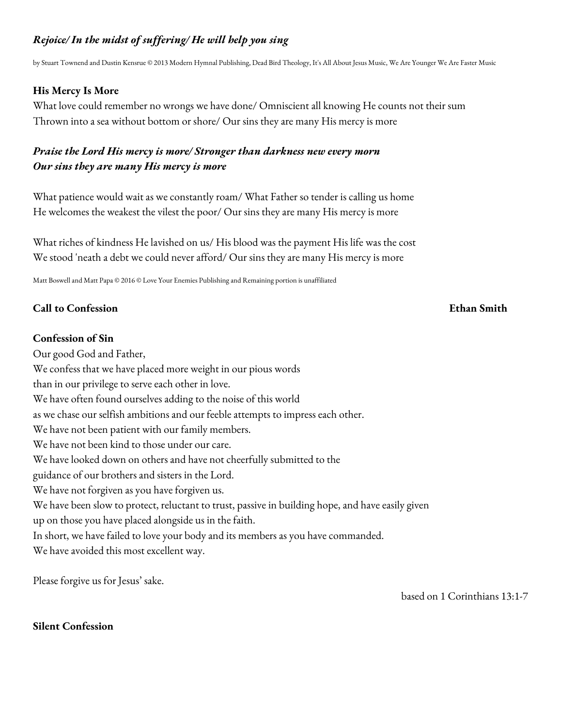# *Rejoice/ In the midst of suffering/ He will help you sing*

by Stuart Townend and Dustin Kensrue © 2013 Modern Hymnal Publishing, Dead Bird Theology, It's All About Jesus Music, We Are Younger We Are Faster Music

# **His Mercy Is More**

What love could remember no wrongs we have done/ Omniscient all knowing He counts not their sum Thrown into a sea without bottom or shore/ Our sins they are many His mercy is more

# *Praise the Lord His mercy is more/ Stronger than darkness new every morn Our sins they are many His mercy is more*

What patience would wait as we constantly roam/ What Father so tender is calling us home He welcomes the weakest the vilest the poor/ Our sins they are many His mercy is more

What riches of kindness He lavished on us/ His blood was the payment His life was the cost We stood 'neath a debt we could never afford/ Our sins they are many His mercy is more

Matt Boswell and Matt Papa © 2016 © Love Your Enemies Publishing and Remaining portion is unaffiliated

# **Call to Confession Ethan Smith**

# **Confession of Sin**

Our good God and Father, We confess that we have placed more weight in our pious words than in our privilege to serve each other in love. We have often found ourselves adding to the noise of this world as we chase our selfish ambitions and our feeble attempts to impress each other. We have not been patient with our family members. We have not been kind to those under our care. We have looked down on others and have not cheerfully submitted to the guidance of our brothers and sisters in the Lord. We have not forgiven as you have forgiven us. We have been slow to protect, reluctant to trust, passive in building hope, and have easily given up on those you have placed alongside us in the faith. In short, we have failed to love your body and its members as you have commanded. We have avoided this most excellent way.

Please forgive us for Jesus' sake.

based on 1 Corinthians 13:1-7

#### **Silent Confession**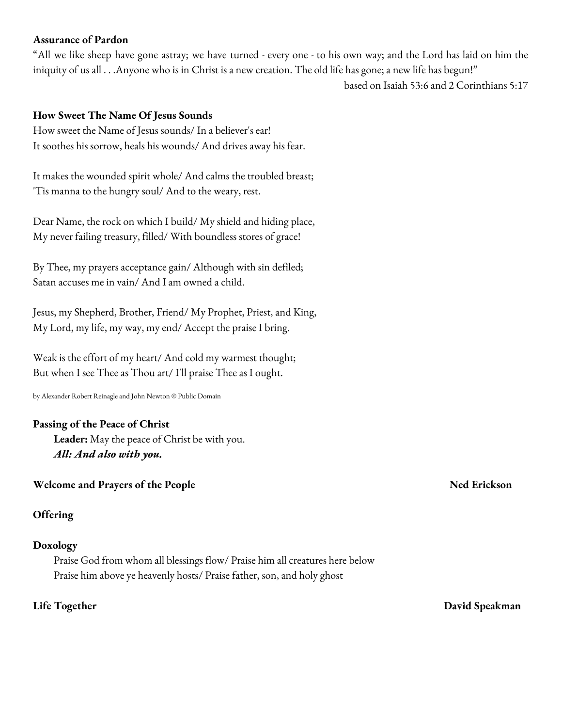### **Assurance of Pardon**

"All we like sheep have gone astray; we have turned - every one - to his own way; and the Lord has laid on him the iniquity of us all . . .Anyone who is in Christ is a new creation. The old life has gone; a new life has begun!" based on Isaiah 53:6 and 2 Corinthians 5:17

#### **How Sweet The Name Of Jesus Sounds**

How sweet the Name of Jesus sounds/ In a believer's ear! It soothes his sorrow, heals his wounds/ And drives away his fear.

It makes the wounded spirit whole/ And calms the troubled breast; 'Tis manna to the hungry soul/ And to the weary, rest.

Dear Name, the rock on which I build/ My shield and hiding place, My never failing treasury, filled/ With boundless stores of grace!

By Thee, my prayers acceptance gain/ Although with sin defiled; Satan accuses me in vain/ And I am owned a child.

Jesus, my Shepherd, Brother, Friend/ My Prophet, Priest, and King, My Lord, my life, my way, my end/ Accept the praise I bring.

Weak is the effort of my heart/ And cold my warmest thought; But when I see Thee as Thou art/ I'll praise Thee as I ought.

by Alexander Robert Reinagle and John Newton © Public Domain

#### **Passing of the Peace of Christ**

**Leader:** May the peace of Christ be with you. *All: And also with you.*

### **Welcome and Prayers of the People Ned Erickson**

#### **Offering**

#### **Doxology**

Praise God from whom all blessings flow/ Praise him all creatures here below Praise him above ye heavenly hosts/ Praise father, son, and holy ghost

**Life Together David Speakman**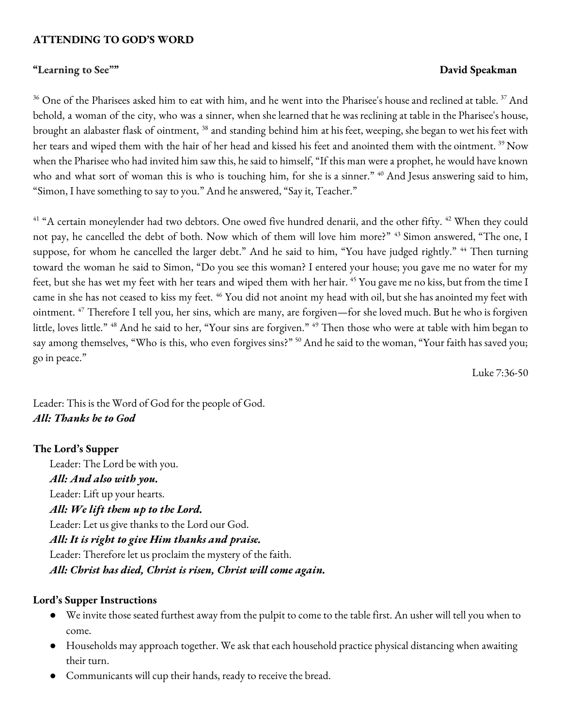### **ATTENDING TO GOD'S WORD**

#### **"Learning to See"" David Speakman**

 $36$  One of the Pharisees asked him to eat with him, and he went into the Pharisee's house and reclined at table.  $37$  And behold, a woman of the city, who was a sinner, when she learned that he was reclining at table in the Pharisee's house, brought an alabaster flask of ointment, <sup>38</sup> and standing behind him at his feet, weeping, she began to wet his feet with her tears and wiped them with the hair of her head and kissed his feet and anointed them with the ointment. <sup>39</sup> Now when the Pharisee who had invited him saw this, he said to himself, "If this man were a prophet, he would have known who and what sort of woman this is who is touching him, for she is a sinner." <sup>40</sup> And Jesus answering said to him, "Simon, I have something to say to you." And he answered, "Say it, Teacher."

 $41$  "A certain moneylender had two debtors. One owed five hundred denarii, and the other fifty.  $42$  When they could not pay, he cancelled the debt of both. Now which of them will love him more?" <sup>43</sup> Simon answered, "The one, I suppose, for whom he cancelled the larger debt." And he said to him, "You have judged rightly." <sup>44</sup> Then turning toward the woman he said to Simon, "Do you see this woman? I entered your house; you gave me no water for my feet, but she has wet my feet with her tears and wiped them with her hair. <sup>45</sup> You gave me no kiss, but from the time I came in she has not ceased to kiss my feet. <sup>46</sup> You did not anoint my head with oil, but she has anointed my feet with ointment. <sup>47</sup> Therefore I tell you, her sins, which are many, are forgiven—for she loved much. But he who is forgiven little, loves little." <sup>48</sup> And he said to her, "Your sins are forgiven." <sup>49</sup> Then those who were at table with him began to say among themselves, "Who is this, who even forgives sins?" <sup>50</sup> And he said to the woman, "Your faith has saved you; go in peace."

Luke 7:36-50

Leader: This is the Word of God for the people of God. *All: Thanks be to God*

#### **The Lord's Supper**

Leader: The Lord be with you. *All: And also with you.* Leader: Lift up your hearts. *All: We lift them up to the Lord.* Leader: Let us give thanks to the Lord our God. *All: It is right to give Him thanks and praise.* Leader: Therefore let us proclaim the mystery of the faith. *All: Christ has died, Christ is risen, Christ will come again.*

#### **Lord's Supper Instructions**

- We invite those seated furthest away from the pulpit to come to the table first. An usher will tell you when to come.
- Households may approach together. We ask that each household practice physical distancing when awaiting their turn.
- Communicants will cup their hands, ready to receive the bread.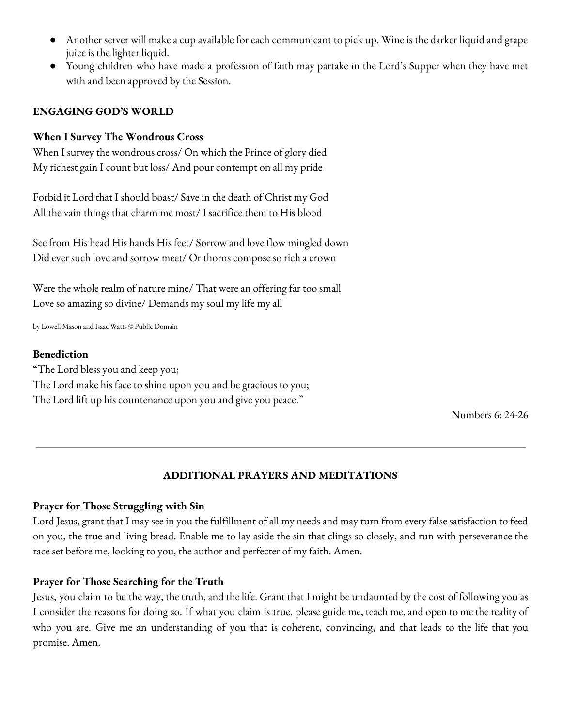- Another server will make a cup available for each communicant to pick up. Wine is the darker liquid and grape juice is the lighter liquid.
- Young children who have made a profession of faith may partake in the Lord's Supper when they have met with and been approved by the Session.

# **ENGAGING GOD'S WORLD**

# **When I Survey The Wondrous Cross**

When I survey the wondrous cross/ On which the Prince of glory died My richest gain I count but loss/ And pour contempt on all my pride

Forbid it Lord that I should boast/ Save in the death of Christ my God All the vain things that charm me most/ I sacrifice them to His blood

See from His head His hands His feet/ Sorrow and love flow mingled down Did ever such love and sorrow meet/ Or thorns compose so rich a crown

Were the whole realm of nature mine/ That were an offering far too small Love so amazing so divine/ Demands my soul my life my all

by Lowell Mason and Isaac Watts © Public Domain

# **Benediction**

"The Lord bless you and keep you; The Lord make his face to shine upon you and be gracious to you; The Lord lift up his countenance upon you and give you peace."

Numbers 6: 24-26

# **ADDITIONAL PRAYERS AND MEDITATIONS**

# **Prayer for Those Struggling with Sin**

Lord Jesus, grant that I may see in you the fulfillment of all my needs and may turn from every false satisfaction to feed on you, the true and living bread. Enable me to lay aside the sin that clings so closely, and run with perseverance the race set before me, looking to you, the author and perfecter of my faith. Amen.

# **Prayer for Those Searching for the Truth**

Jesus, you claim to be the way, the truth, and the life. Grant that I might be undaunted by the cost of following you as I consider the reasons for doing so. If what you claim is true, please guide me, teach me, and open to me the reality of who you are. Give me an understanding of you that is coherent, convincing, and that leads to the life that you promise. Amen.